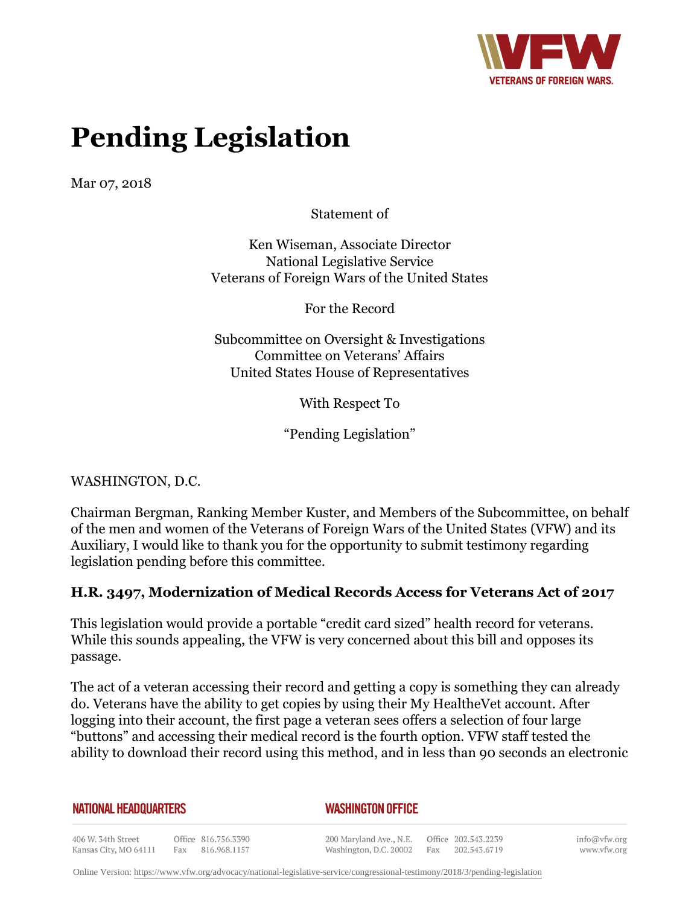

# **Pending Legislation**

Mar 07, 2018

Statement of

Ken Wiseman, Associate Director National Legislative Service Veterans of Foreign Wars of the United States

For the Record

Subcommittee on Oversight & Investigations Committee on Veterans' Affairs United States House of Representatives

With Respect To

"Pending Legislation"

WASHINGTON, D.C.

Chairman Bergman, Ranking Member Kuster, and Members of the Subcommittee, on behalf of the men and women of the Veterans of Foreign Wars of the United States (VFW) and its Auxiliary, I would like to thank you for the opportunity to submit testimony regarding legislation pending before this committee.

## **H.R. 3497, Modernization of Medical Records Access for Veterans Act of 2017**

This legislation would provide a portable "credit card sized" health record for veterans. While this sounds appealing, the VFW is very concerned about this bill and opposes its passage.

The act of a veteran accessing their record and getting a copy is something they can already do. Veterans have the ability to get copies by using their My HealtheVet account. After logging into their account, the first page a veteran sees offers a selection of four large "buttons" and accessing their medical record is the fourth option. VFW staff tested the ability to download their record using this method, and in less than 90 seconds an electronic

**NATIONAL HEADQUARTERS** 

#### *WASHINGTON OFFICE*

406 W. 34th Street Office 816.756.3390 Fax 816.968.1157 Kansas City, MO 64111

200 Maryland Ave., N.E. Washington, D.C. 20002 Fax 202.543.6719

Office 202.543.2239

info@vfw.org www.vfw.org

Online Version:<https://www.vfw.org/advocacy/national-legislative-service/congressional-testimony/2018/3/pending-legislation>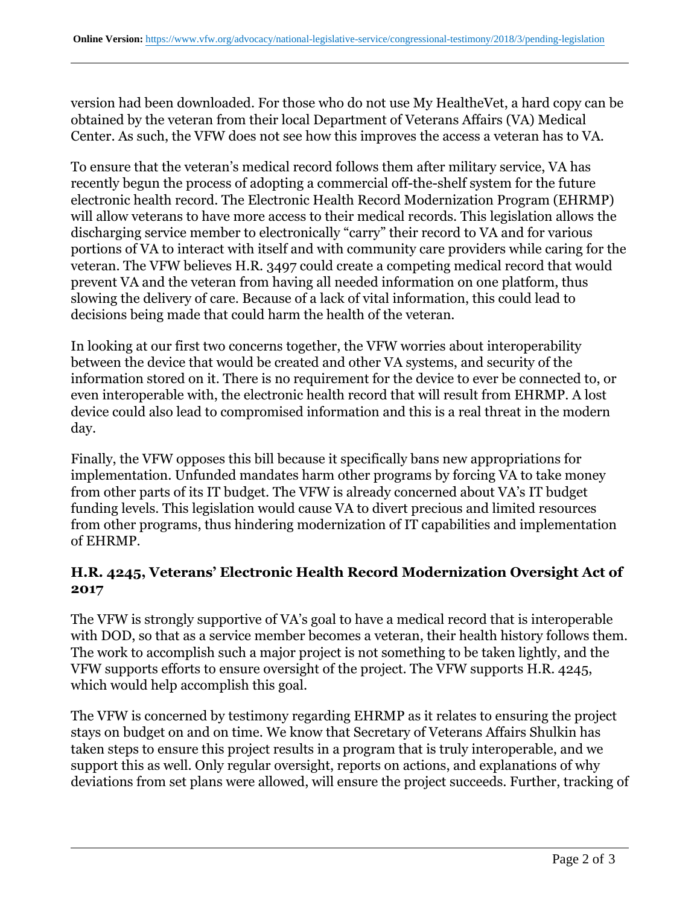version had been downloaded. For those who do not use My HealtheVet, a hard copy can be obtained by the veteran from their local Department of Veterans Affairs (VA) Medical Center. As such, the VFW does not see how this improves the access a veteran has to VA.

To ensure that the veteran's medical record follows them after military service, VA has recently begun the process of adopting a commercial off-the-shelf system for the future electronic health record. The Electronic Health Record Modernization Program (EHRMP) will allow veterans to have more access to their medical records. This legislation allows the discharging service member to electronically "carry" their record to VA and for various portions of VA to interact with itself and with community care providers while caring for the veteran. The VFW believes H.R. 3497 could create a competing medical record that would prevent VA and the veteran from having all needed information on one platform, thus slowing the delivery of care. Because of a lack of vital information, this could lead to decisions being made that could harm the health of the veteran.

In looking at our first two concerns together, the VFW worries about interoperability between the device that would be created and other VA systems, and security of the information stored on it. There is no requirement for the device to ever be connected to, or even interoperable with, the electronic health record that will result from EHRMP. A lost device could also lead to compromised information and this is a real threat in the modern day.

Finally, the VFW opposes this bill because it specifically bans new appropriations for implementation. Unfunded mandates harm other programs by forcing VA to take money from other parts of its IT budget. The VFW is already concerned about VA's IT budget funding levels. This legislation would cause VA to divert precious and limited resources from other programs, thus hindering modernization of IT capabilities and implementation of EHRMP.

## **H.R. 4245, Veterans' Electronic Health Record Modernization Oversight Act of 2017**

The VFW is strongly supportive of VA's goal to have a medical record that is interoperable with DOD, so that as a service member becomes a veteran, their health history follows them. The work to accomplish such a major project is not something to be taken lightly, and the VFW supports efforts to ensure oversight of the project. The VFW supports H.R. 4245, which would help accomplish this goal.

The VFW is concerned by testimony regarding EHRMP as it relates to ensuring the project stays on budget on and on time. We know that Secretary of Veterans Affairs Shulkin has taken steps to ensure this project results in a program that is truly interoperable, and we support this as well. Only regular oversight, reports on actions, and explanations of why deviations from set plans were allowed, will ensure the project succeeds. Further, tracking of